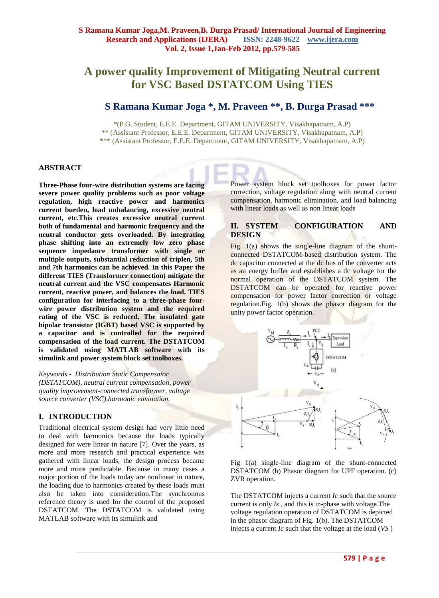# **A power quality Improvement of Mitigating Neutral current for VSC Based DSTATCOM Using TIES**

## **S Ramana Kumar Joga \*, M. Praveen \*\*, B. Durga Prasad \*\*\***

\*(P.G. Student, E.E.E. Department, GITAM UNIVERSITY, Visakhapatnam, A.P) \*\* (Assistant Professor, E.E.E. Department, GITAM UNIVERSITY, Visakhapatnam, A.P) \*\*\* (Assistant Professor, E.E.E. Department, GITAM UNIVERSITY, Visakhapatnam, A.P)

#### **ABSTRACT**

**Three-Phase four-wire distribution systems are facing severe power quality problems such as poor voltage regulation, high reactive power and harmonics current burden, load unbalancing, excessive neutral current, etc.This creates excessive neutral current both of fundamental and harmonic frequency and the neutral conductor gets overloaded. By integrating phase shifting into an extremely low zero phase sequence impedance transformer with single or multiple outputs, substantial reduction of triplen, 5th and 7th harmonics can be achieved. In this Paper the different TIES (Transformer connection) mitigate the neutral current and the VSC compensates Harmonic current, reactive power, and balances the load. TIES configuration for interfacing to a three-phase fourwire power distribution system and the required rating of the VSC is reduced. The insulated gate bipolar transistor (IGBT) based VSC is supported by a capacitor and is controlled for the required compensation of the load current. The DSTATCOM is validated using MATLAB software with its simulink and power system block set toolboxes.**

*Keywords* **-** *Distribution Static Compensator (DSTATCOM), neutral current compensation, power quality improvement-connected transformer, voltage source converter (VSC),harmonic eimination.*

#### **I. INTRODUCTION**

Traditional electrical system design had very little need to deal with harmonics because the loads typically designed for were linear in nature [7]. Over the years, as more and more research and practical experience was gathered with linear loads, the design process became more and more predictable. Because in many cases a major portion of the loads today are nonlinear in nature, the loading due to harmonics created by these loads must also be taken into consideration.The synchronous reference theory is used for the control of the proposed DSTATCOM. The DSTATCOM is validated using MATLAB software with its simulink and

Power system block set toolboxes for power factor correction, voltage regulation along with neutral current compensation, harmonic elimination, and load balancing with linear loads as well as non linear loads

## **II. SYSTEM CONFIGURATION AND DESIGN**

Fig.  $1(a)$  shows the single-line diagram of the shuntconnected DSTATCOM-based distribution system. The dc capacitor connected at the dc bus of the converter acts as an energy buffer and establishes a dc voltage for the normal operation of the DSTATCOM system. The **DSTATCOM** can be operated for reactive power compensation for power factor correction or voltage regulation. Fig. 1(b) shows the phasor diagram for the unity power factor operation.





The DSTATCOM injects a current *Ic* such that the source current is only *Is* , and this is in-phase with voltage.The voltage regulation operation of DSTATCOM is depicted in the phasor diagram of Fig. 1(b). The DSTATCOM injects a current *Ic* such that the voltage at the load (*VS* )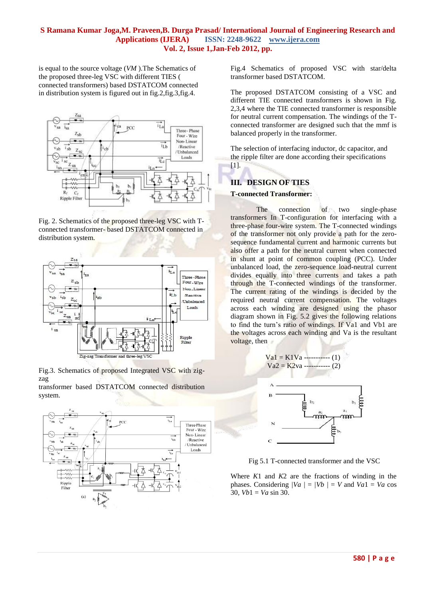is equal to the source voltage (*VM* ).The Schematics of the proposed three-leg VSC with different TIES ( connected transformers) based DSTATCOM connected in distribution system is figured out in fig.2,fig.3,fig.4.



Fig. 2. Schematics of the proposed three-leg VSC with Tconnected transformer- based DSTATCOM connected in distribution system.



Fig.3. Schematics of proposed Integrated VSC with zigzag

transformer based DSTATCOM connected distribution system.



Fig.4 Schematics of proposed VSC with star/delta transformer based DSTATCOM.

The proposed DSTATCOM consisting of a VSC and different TIE connected transformers is shown in Fig. 2,3,4 where the TIE connected transformer is responsible for neutral current compensation. The windings of the Tconnected transformer are designed such that the mmf is balanced properly in the transformer.

The selection of interfacing inductor, dc capacitor, and the ripple filter are done according their specifications [1].

## **III. DESIGN OF TIES**

### **T-connected Transformer:**

The connection of two single-phase transformers In T-configuration for interfacing with a three-phase four-wire system. The T-connected windings of the transformer not only provide a path for the zerosequence fundamental current and harmonic currents but also offer a path for the neutral current when connected in shunt at point of common coupling (PCC). Under unbalanced load, the zero-sequence load-neutral current divides equally into three currents and takes a path through the T-connected windings of the transformer. The current rating of the windings is decided by the required neutral current compensation. The voltages across each winding are designed using the phasor diagram shown in Fig. 5.2 gives the following relations to find the turn's ratio of windings. If Va1 and Vb1 are the voltages across each winding and Va is the resultant voltage, then



Fig 5.1 T-connected transformer and the VSC

Where *K*1 and *K*2 are the fractions of winding in the phases. Considering  $\sqrt{Va}$   $\sqrt{=}$   $\sqrt{Vb}$   $\sqrt{=}$   $V$  and  $\sqrt{Va}$   $\sqrt{=}$   $Va$  cos 30*, Vb*1 = *Va* sin 30.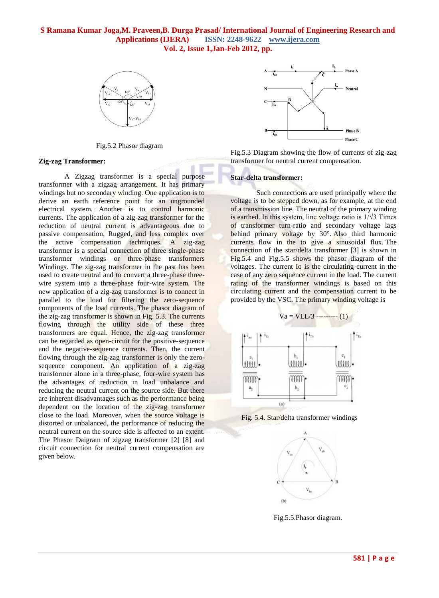

Fig.5.2 Phasor diagram

#### **Zig-zag Transformer:**

A Zigzag transformer is a special purpose transformer with a zigzag arrangement. It has primary windings but no secondary winding. One application is to derive an earth reference point for an ungrounded electrical system. Another is to control harmonic currents. The application of a zig-zag transformer for the reduction of neutral current is advantageous due to passive compensation, Rugged, and less complex over the active compensation techniques. A zig-zag transformer is a special connection of three single-phase transformer windings or three-phase transformers Windings. The zig-zag transformer in the past has been used to create neutral and to convert a three-phase threewire system into a three-phase four-wire system. The new application of a zig-zag transformer is to connect in parallel to the load for filtering the zero-sequence components of the load currents. The phasor diagram of the zig-zag transformer is shown in Fig. 5.3. The currents flowing through the utility side of these three transformers are equal. Hence, the zig-zag transformer can be regarded as open-circuit for the positive-sequence and the negative-sequence currents. Then, the current flowing through the zig-zag transformer is only the zerosequence component. An application of a zig-zag transformer alone in a three-phase, four-wire system has the advantages of reduction in load unbalance and reducing the neutral current on the source side. But there are inherent disadvantages such as the performance being dependent on the location of the zig-zag transformer close to the load. Moreover, when the source voltage is distorted or unbalanced, the performance of reducing the neutral current on the source side is affected to an extent. The Phasor Daigram of zigzag transformer [2] [8] and circuit connection for neutral current compensation are given below.



Fig.5.3 Diagram showing the flow of currents of zig-zag transformer for neutral current compensation.

#### **Star-delta transformer:**

Such connections are used principally where the voltage is to be stepped down, as for example, at the end of a transmission line. The neutral of the primary winding is earthed. In this system, line voltage ratio is  $1/\sqrt{3}$  Times of transformer turn-ratio and secondary voltage lags behind primary voltage by 30°. Also third harmonic currents flow in the to give a sinusoidal flux. The connection of the star/delta transformer [3] is shown in Fig.5.4 and Fig.5.5 shows the phasor diagram of the voltages. The current Io is the circulating current in the case of any zero sequence current in the load. The current rating of the transformer windings is based on this circulating current and the compensation current to be provided by the VSC. The primary winding voltage is



Fig. 5.4. Star/delta transformer windings



Fig.5.5.Phasor diagram.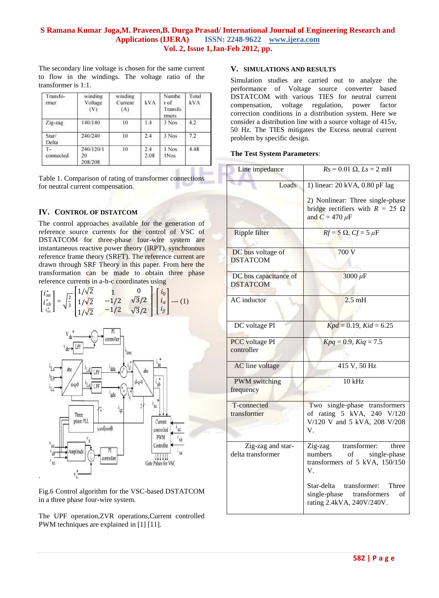The secondary line voltage is chosen for the same current to flow in the windings. The voltage ratio of the transformer is 1:1.

| Transfo-<br>rmer | winding<br>Voltage<br>(V)  | winding<br>Current<br>(A) | kVA         | Numbe<br>rof<br>Transfo<br>rmers | Total<br><b>kVA</b> |
|------------------|----------------------------|---------------------------|-------------|----------------------------------|---------------------|
| Zig-zag          | 140/140                    | 10                        | 1.4         | 3 Nos                            | 4.2                 |
| Star/<br>Delta   | 240/240                    | 10                        | 2.4         | 3 Nos                            | 7.2                 |
| т.<br>connected  | 240/120/1<br>20<br>208/208 | 10                        | 2.4<br>2.08 | 1 Nos<br><b>INos</b>             | 4.48                |

Table 1. Comparison of rating of transformer connections for neutral current compensation.

## **IV. CONTROL OF DSTATCOM**

The control approaches available for the generation of reference source currents for the control of VSC of DSTATCOM for three-phase four-wire system are instantaneous reactive power theory (IRPT), synchronous reference frame theory (SRFT). The reference current are drawn through SRF Theory in this paper. From here the transformation can be made to obtain three phase reference currents in a-b-c coordinates using

|  |  | $\begin{bmatrix} i_{sa}^* \\ i_{sb}^* \\ i_{sc}^* \end{bmatrix} = \sqrt{\frac{2}{3}} \begin{bmatrix} 1/\sqrt{2} & 1 & 0 \\ 1/\sqrt{2} & -1/2 & \sqrt{3}/2 \\ 1/\sqrt{2} & -1/2 & \sqrt{3}/2 \end{bmatrix} \begin{bmatrix} i_0 \\ i_\alpha \\ i_\beta \end{bmatrix} \cdots (1)$ |
|--|--|--------------------------------------------------------------------------------------------------------------------------------------------------------------------------------------------------------------------------------------------------------------------------------|



Fig.6 Control algorithm for the VSC-based DSTATCOM in a three phase four-wire system.

The UPF operation,ZVR operations,Current controlled PWM techniques are explained in [1] [11].

## **V. SIMULATIONS AND RESULTS**

Simulation studies are carried out to analyze the performance of Voltage source converter based DSTATCOM with various TIES for neutral current compensation, voltage regulation, power factor correction conditions in a distribution system. Here we consider a distribution line with a source voltage of 415v, 50 Hz. The TIES mitigates the Excess neutral current problem by specific design.

#### **The Test System Parameters**:

| Line impedance                           | $Rs = 0.01 \Omega, Ls = 2 mH$                                                                             |  |  |  |
|------------------------------------------|-----------------------------------------------------------------------------------------------------------|--|--|--|
| Loads                                    | 1) linear: 20 kVA, 0.80 pF lag                                                                            |  |  |  |
|                                          | 2) Nonlinear: Three single-phase<br>bridge rectifiers with $R = 25 \Omega$<br>and $C = 470 \mu F$         |  |  |  |
| <b>Ripple filter</b>                     | $Rf = 5 \Omega$ , $Cf = 5 \mu F$                                                                          |  |  |  |
| DC bus voltage of<br><b>DSTATCOM</b>     | 700 V                                                                                                     |  |  |  |
| DC bus capacitance of<br><b>DSTATCOM</b> | $3000 \,\mu F$                                                                                            |  |  |  |
| <b>AC</b> inductor                       | $2.5$ mH                                                                                                  |  |  |  |
| DC voltage PI                            | $Kpd = 0.19$ , $Kid = 6.25$                                                                               |  |  |  |
| <b>PCC</b> voltage PI<br>controller      | $Kpq = 0.9, Kiq = 7.5$                                                                                    |  |  |  |
| AC line voltage                          | 415 V, 50 Hz                                                                                              |  |  |  |
| <b>PWM</b> switching<br>frequency        | $10$ kHz                                                                                                  |  |  |  |
| T-connected<br>transformer               | single-phase transformers<br>Two<br>of rating 5 kVA, 240 V/120<br>V/120 V and 5 kVA, 208 V/208<br>V.      |  |  |  |
| Zig-zag and star-<br>delta transformer   | transformer:<br>Zig-zag<br>three<br>numbers<br>of<br>single-phase<br>transformers of 5 kVA, 150/150<br>V. |  |  |  |
|                                          | Star-delta transformer:<br>Three<br>single-phase transformers<br>of<br>rating 2.4kVA, 240V/240V.          |  |  |  |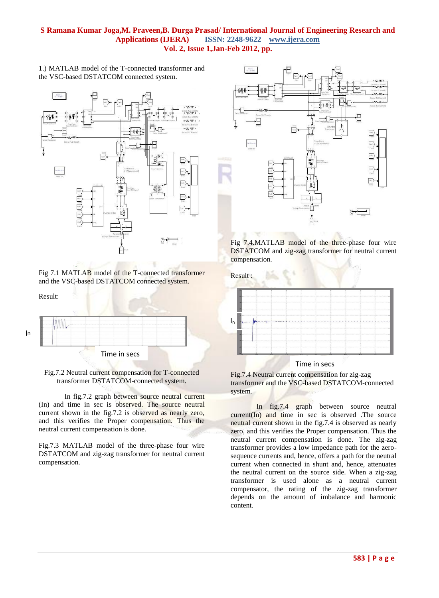1.) MATLAB model of the T-connected transformer and the VSC-based DSTATCOM connected system.



Fig 7.1 MATLAB model of the T-connected transformer and the VSC-based DSTATCOM connected system.

Result:



Fig.7.2 Neutral current compensation for T-connected transformer DSTATCOM-connected system.

In fig.7.2 graph between source neutral current (In) and time in sec is observed. The source neutral current shown in the fig.7.2 is observed as nearly zero, and this verifies the Proper compensation. Thus the neutral current compensation is done.

Fig.7.3 MATLAB model of the three-phase four wire DSTATCOM and zig-zag transformer for neutral current compensation.



Fig 7.4.MATLAB model of the three-phase four wire DSTATCOM and zig-zag transformer for neutral current compensation.



Fig.7.4 Neutral current compensation for zig-zag transformer and the VSC-based DSTATCOM-connected system.

In fig.7.4 graph between source neutral  $current(In)$  and time in sec is observed. The source neutral current shown in the fig.7.4 is observed as nearly zero, and this verifies the Proper compensation. Thus the neutral current compensation is done. The zig-zag transformer provides a low impedance path for the zerosequence currents and, hence, offers a path for the neutral current when connected in shunt and, hence, attenuates the neutral current on the source side. When a zig-zag transformer is used alone as a neutral current compensator, the rating of the zig-zag transformer depends on the amount of imbalance and harmonic content.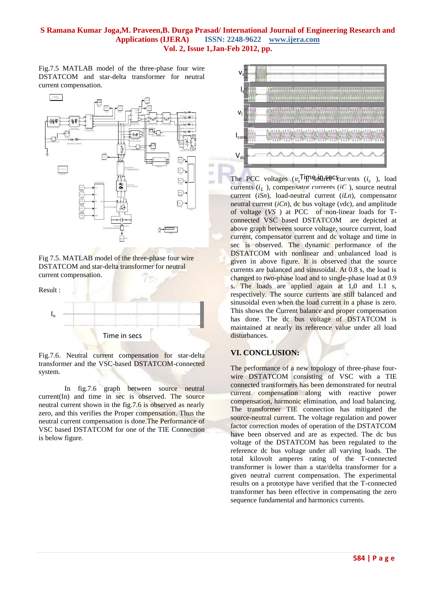m

 $\overline{a}$ 

mi

Fig.7.5 MATLAB model of the three-phase four wire DSTATCOM and star-delta transformer for neutral current compensation.



Fig 7.5. MATLAB model of the three-phase four wire DSTATCOM and star-delta transformer for neutral current compensation.



Fig.7.6. Neutral current compensation for star-delta transformer and the VSC-based DSTATCOM-connected system.

In fig.7.6 graph between source neutral current(In) and time in sec is observed. The source neutral current shown in the fig.7.6 is observed as nearly zero, and this verifies the Proper compensation. Thus the neutral current compensation is done.The Performance of VSC based DSTATCOM for one of the TIE Connection is below figure.



The PCC voltages  $(v_s^{\text{Tip}})$  sollress  $(i_s)$ , load currents  $(i_L)$ , compensator currents  $(iC)$ , source neutral current (*iSn*), load-neutral current (*iLn*), compensator neutral current (*iCn*), dc bus voltage (*v*dc), and amplitude of voltage (*VS* ) at PCC of non-linear loads for Tconnected VSC based DSTATCOM are depicted at above graph between source voltage, source current, load current, compensator current and dc voltage and time in sec is observed. The dynamic performance of the DSTATCOM with nonlinear and unbalanced load is given in above figure. It is observed that the source currents are balanced and sinusoidal. At 0.8 s, the load is changed to two-phase load and to single-phase load at 0.9 s. The loads are applied again at 1.0 and 1.1 s, respectively. The source currents are still balanced and sinusoidal even when the load current in a phase is zero. This shows the Current balance and proper compensation has done. The dc bus voltage of DSTATCOM is maintained at nearly its reference value under all load disturbances.

## **VI. CONCLUSION:**

The performance of a new topology of three-phase fourwire DSTATCOM consisting of VSC with a TIE connected transformers has been demonstrated for neutral current compensation along with reactive power compensation, harmonic elimination, and load balancing. The transformer TIE connection has mitigated the source-neutral current. The voltage regulation and power factor correction modes of operation of the DSTATCOM have been observed and are as expected. The dc bus voltage of the DSTATCOM has been regulated to the reference dc bus voltage under all varying loads. The total kilovolt amperes rating of the T-connected transformer is lower than a star/delta transformer for a given neutral current compensation. The experimental results on a prototype have verified that the T-connected transformer has been effective in compensating the zero sequence fundamental and harmonics currents.